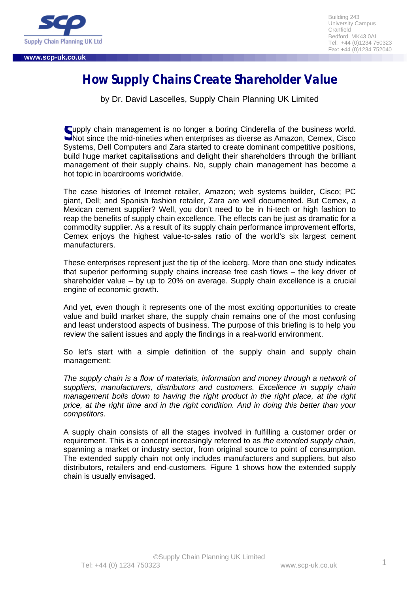

**www.scp-uk.co.uk**

# **How Supply Chains Create Shareholder Value**

by Dr. David Lascelles, Supply Chain Planning UK Limited

upply chain management is no longer a boring Cinderella of the business world. Supply chain management is no longer a boring Cinderella of the business world.<br>
Solot since the mid-nineties when enterprises as diverse as Amazon, Cemex, Cisco Systems, Dell Computers and Zara started to create dominant competitive positions, build huge market capitalisations and delight their shareholders through the brilliant management of their supply chains. No, supply chain management has become a hot topic in boardrooms worldwide.

The case histories of Internet retailer, Amazon; web systems builder, Cisco; PC giant, Dell; and Spanish fashion retailer, Zara are well documented. But Cemex, a Mexican cement supplier? Well, you don't need to be in hi-tech or high fashion to reap the benefits of supply chain excellence. The effects can be just as dramatic for a commodity supplier. As a result of its supply chain performance improvement efforts, Cemex enjoys the highest value-to-sales ratio of the world's six largest cement manufacturers.

These enterprises represent just the tip of the iceberg. More than one study indicates that superior performing supply chains increase free cash flows – the key driver of shareholder value – by up to 20% on average. Supply chain excellence is a crucial engine of economic growth.

And yet, even though it represents one of the most exciting opportunities to create value and build market share, the supply chain remains one of the most confusing and least understood aspects of business. The purpose of this briefing is to help you review the salient issues and apply the findings in a real-world environment.

So let's start with a simple definition of the supply chain and supply chain management:

The supply chain is a flow of materials, information and money through a network of *suppliers, manufacturers, distributors and customers. Excellence in supply chain management boils down to having the right product in the right place, at the right price, at the right time and in the right condition. And in doing this better than your competitors.*

A supply chain consists of all the stages involved in fulfilling a customer order or requirement. This is a concept increasingly referred to as *the extended supply chain*, spanning a market or industry sector, from original source to point of consumption. The extended supply chain not only includes manufacturers and suppliers, but also distributors, retailers and end-customers. Figure 1 shows how the extended supply chain is usually envisaged.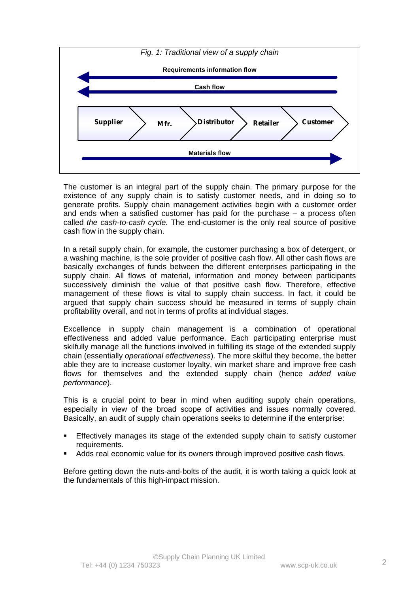

The customer is an integral part of the supply chain. The primary purpose for the existence of any supply chain is to satisfy customer needs, and in doing so to generate profits. Supply chain management activities begin with a customer order and ends when a satisfied customer has paid for the purchase – a process often called *the cash-to-cash cycle*. The end-customer is the only real source of positive cash flow in the supply chain.

In a retail supply chain, for example, the customer purchasing a box of detergent, or a washing machine, is the sole provider of positive cash flow. All other cash flows are basically exchanges of funds between the different enterprises participating in the supply chain. All flows of material, information and money between participants successively diminish the value of that positive cash flow. Therefore, effective management of these flows is vital to supply chain success. In fact, it could be argued that supply chain success should be measured in terms of supply chain profitability overall, and not in terms of profits at individual stages.

Excellence in supply chain management is a combination of operational effectiveness and added value performance. Each participating enterprise must skilfully manage all the functions involved in fulfilling its stage of the extended supply chain (essentially *operational effectiveness*). The more skilful they become, the better able they are to increase customer loyalty, win market share and improve free cash flows for themselves and the extended supply chain (hence *added value performance*).

This is a crucial point to bear in mind when auditing supply chain operations, especially in view of the broad scope of activities and issues normally covered. Basically, an audit of supply chain operations seeks to determine if the enterprise:

- ß Effectively manages its stage of the extended supply chain to satisfy customer requirements.
- ß Adds real economic value for its owners through improved positive cash flows.

Before getting down the nuts-and-bolts of the audit, it is worth taking a quick look at the fundamentals of this high-impact mission.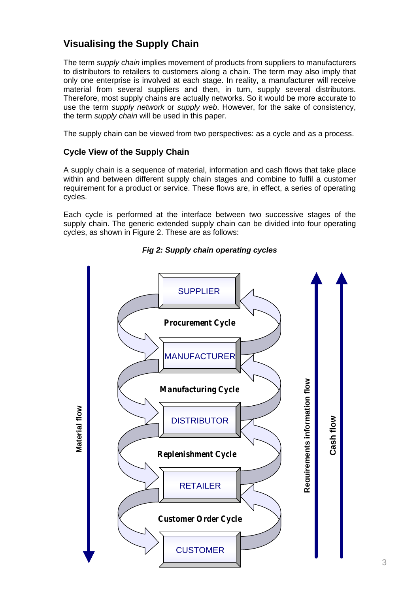# **Visualising the Supply Chain**

The term *supply chain* implies movement of products from suppliers to manufacturers to distributors to retailers to customers along a chain. The term may also imply that only one enterprise is involved at each stage. In reality, a manufacturer will receive material from several suppliers and then, in turn, supply several distributors. Therefore, most supply chains are actually networks. So it would be more accurate to use the term *supply network* or *supply web*. However, for the sake of consistency, the term *supply chain* will be used in this paper.

The supply chain can be viewed from two perspectives: as a cycle and as a process.

# **Cycle View of the Supply Chain**

A supply chain is a sequence of material, information and cash flows that take place within and between different supply chain stages and combine to fulfil a customer requirement for a product or service. These flows are, in effect, a series of operating cycles.

Each cycle is performed at the interface between two successive stages of the supply chain. The generic extended supply chain can be divided into four operating cycles, as shown in Figure 2. These are as follows:



# *Fig 2: Supply chain operating cycles*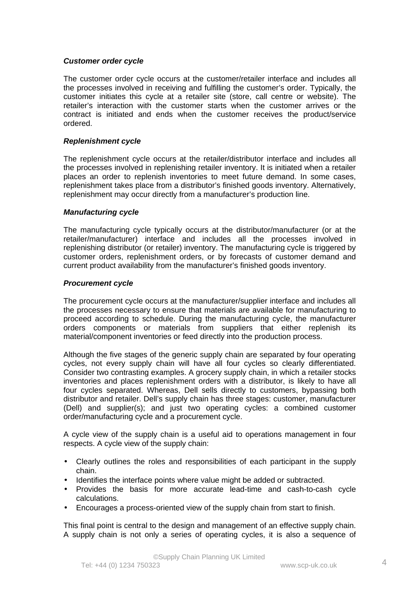### *Customer order cycle*

The customer order cycle occurs at the customer/retailer interface and includes all the processes involved in receiving and fulfilling the customer's order. Typically, the customer initiates this cycle at a retailer site (store, call centre or website). The retailer's interaction with the customer starts when the customer arrives or the contract is initiated and ends when the customer receives the product/service ordered.

### *Replenishment cycle*

The replenishment cycle occurs at the retailer/distributor interface and includes all the processes involved in replenishing retailer inventory. It is initiated when a retailer places an order to replenish inventories to meet future demand. In some cases, replenishment takes place from a distributor's finished goods inventory. Alternatively, replenishment may occur directly from a manufacturer's production line.

### *Manufacturing cycle*

The manufacturing cycle typically occurs at the distributor/manufacturer (or at the retailer/manufacturer) interface and includes all the processes involved in replenishing distributor (or retailer) inventory. The manufacturing cycle is triggered by customer orders, replenishment orders, or by forecasts of customer demand and current product availability from the manufacturer's finished goods inventory.

#### *Procurement cycle*

The procurement cycle occurs at the manufacturer/supplier interface and includes all the processes necessary to ensure that materials are available for manufacturing to proceed according to schedule. During the manufacturing cycle, the manufacturer orders components or materials from suppliers that either replenish its material/component inventories or feed directly into the production process.

Although the five stages of the generic supply chain are separated by four operating cycles, not every supply chain will have all four cycles so clearly differentiated. Consider two contrasting examples. A grocery supply chain, in which a retailer stocks inventories and places replenishment orders with a distributor, is likely to have all four cycles separated. Whereas, Dell sells directly to customers, bypassing both distributor and retailer. Dell's supply chain has three stages: customer, manufacturer (Dell) and supplier(s); and just two operating cycles: a combined customer order/manufacturing cycle and a procurement cycle.

A cycle view of the supply chain is a useful aid to operations management in four respects. A cycle view of the supply chain:

- Clearly outlines the roles and responsibilities of each participant in the supply chain.
- Identifies the interface points where value might be added or subtracted.
- Provides the basis for more accurate lead-time and cash-to-cash cycle calculations.
- Encourages a process-oriented view of the supply chain from start to finish.

This final point is central to the design and management of an effective supply chain. A supply chain is not only a series of operating cycles, it is also a sequence of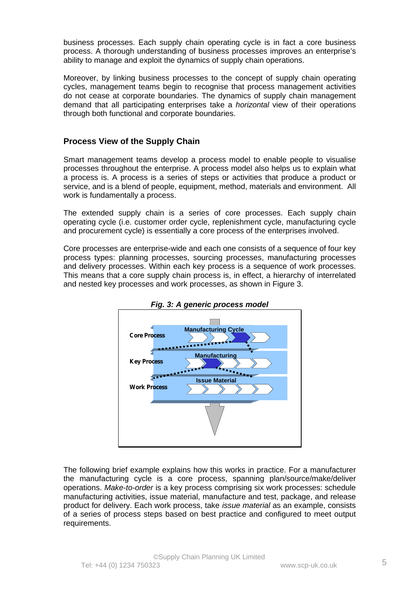business processes. Each supply chain operating cycle is in fact a core business process. A thorough understanding of business processes improves an enterprise's ability to manage and exploit the dynamics of supply chain operations.

Moreover, by linking business processes to the concept of supply chain operating cycles, management teams begin to recognise that process management activities do not cease at corporate boundaries. The dynamics of supply chain management demand that all participating enterprises take a *horizontal* view of their operations through both functional and corporate boundaries.

# **Process View of the Supply Chain**

Smart management teams develop a process model to enable people to visualise processes throughout the enterprise. A process model also helps us to explain what a process is. A process is a series of steps or activities that produce a product or service, and is a blend of people, equipment, method, materials and environment. All work is fundamentally a process.

The extended supply chain is a series of core processes. Each supply chain operating cycle (i.e. customer order cycle, replenishment cycle, manufacturing cycle and procurement cycle) is essentially a core process of the enterprises involved.

Core processes are enterprise-wide and each one consists of a sequence of four key process types: planning processes, sourcing processes, manufacturing processes and delivery processes. Within each key process is a sequence of work processes. This means that a core supply chain process is, in effect, a hierarchy of interrelated and nested key processes and work processes, as shown in Figure 3.





The following brief example explains how this works in practice. For a manufacturer the manufacturing cycle is a core process, spanning plan/source/make/deliver operations. *Make-to-order* is a key process comprising six work processes: schedule manufacturing activities, issue material, manufacture and test, package, and release product for delivery. Each work process, take *issue material* as an example, consists of a series of process steps based on best practice and configured to meet output requirements.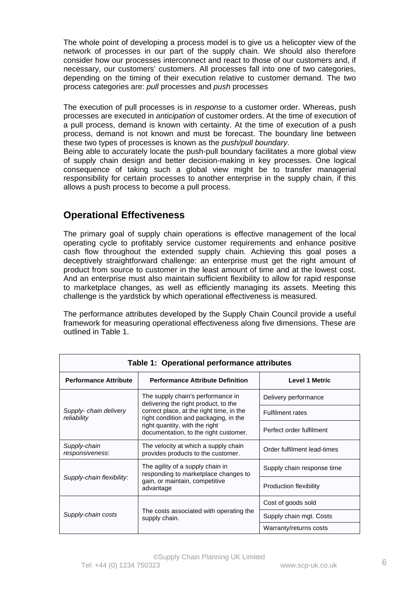The whole point of developing a process model is to give us a helicopter view of the network of processes in our part of the supply chain. We should also therefore consider how our processes interconnect and react to those of our customers and, if necessary, our customers' customers. All processes fall into one of two categories, depending on the timing of their execution relative to customer demand. The two process categories are: *pull* processes and *push* processes

The execution of pull processes is in *response* to a customer order. Whereas, push processes are executed in *anticipation* of customer orders. At the time of execution of a pull process, demand is known with certainty. At the time of execution of a push process, demand is not known and must be forecast. The boundary line between these two types of processes is known as the *push/pull boundary*.

Being able to accurately locate the push-pull boundary facilitates a more global view of supply chain design and better decision-making in key processes. One logical consequence of taking such a global view might be to transfer managerial responsibility for certain processes to another enterprise in the supply chain, if this allows a push process to become a pull process.

# **Operational Effectiveness**

The primary goal of supply chain operations is effective management of the local operating cycle to profitably service customer requirements and enhance positive cash flow throughout the extended supply chain. Achieving this goal poses a deceptively straightforward challenge: an enterprise must get the right amount of product from source to customer in the least amount of time and at the lowest cost. And an enterprise must also maintain sufficient flexibility to allow for rapid response to marketplace changes, as well as efficiently managing its assets. Meeting this challenge is the yardstick by which operational effectiveness is measured.

The performance attributes developed by the Supply Chain Council provide a useful framework for measuring operational effectiveness along five dimensions. These are outlined in Table 1.

| Table 1: Operational performance attributes |                                                                                                                                                                                                                                           |                               |  |  |
|---------------------------------------------|-------------------------------------------------------------------------------------------------------------------------------------------------------------------------------------------------------------------------------------------|-------------------------------|--|--|
| <b>Performance Attribute</b>                | <b>Performance Attribute Definition</b>                                                                                                                                                                                                   | <b>Level 1 Metric</b>         |  |  |
| Supply-chain delivery<br>reliability        | The supply chain's performance in<br>delivering the right product, to the<br>correct place, at the right time, in the<br>right condition and packaging, in the<br>right quantity, with the right<br>documentation, to the right customer. | Delivery performance          |  |  |
|                                             |                                                                                                                                                                                                                                           | <b>Fulfilment rates</b>       |  |  |
|                                             |                                                                                                                                                                                                                                           | Perfect order fulfilment      |  |  |
| Supply-chain<br>responsiveness:             | The velocity at which a supply chain<br>provides products to the customer.                                                                                                                                                                | Order fulfilment lead-times   |  |  |
| Supply-chain flexibility:                   | The agility of a supply chain in<br>responding to marketplace changes to<br>gain, or maintain, competitive<br>advantage                                                                                                                   | Supply chain response time    |  |  |
|                                             |                                                                                                                                                                                                                                           | <b>Production flexibility</b> |  |  |
| Supply-chain costs                          | The costs associated with operating the<br>supply chain.                                                                                                                                                                                  | Cost of goods sold            |  |  |
|                                             |                                                                                                                                                                                                                                           | Supply chain mgt. Costs       |  |  |
|                                             |                                                                                                                                                                                                                                           | Warranty/returns costs        |  |  |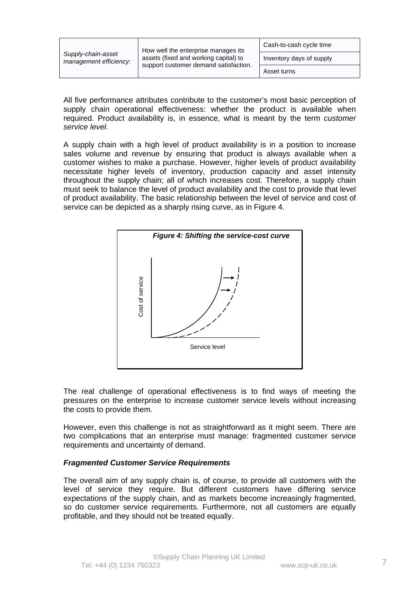| Supply-chain-asset<br>management efficiency: | How well the enterprise manages its<br>assets (fixed and working capital) to<br>support customer demand satisfaction. | Cash-to-cash cycle time  |
|----------------------------------------------|-----------------------------------------------------------------------------------------------------------------------|--------------------------|
|                                              |                                                                                                                       | Inventory days of supply |
|                                              |                                                                                                                       | Asset turns              |

All five performance attributes contribute to the customer's most basic perception of supply chain operational effectiveness: whether the product is available when required. Product availability is, in essence, what is meant by the term *customer service level*.

A supply chain with a high level of product availability is in a position to increase sales volume and revenue by ensuring that product is always available when a customer wishes to make a purchase. However, higher levels of product availability necessitate higher levels of inventory, production capacity and asset intensity throughout the supply chain; all of which increases cost. Therefore, a supply chain must seek to balance the level of product availability and the cost to provide that level of product availability. The basic relationship between the level of service and cost of service can be depicted as a sharply rising curve, as in Figure 4.



The real challenge of operational effectiveness is to find ways of meeting the pressures on the enterprise to increase customer service levels without increasing the costs to provide them.

However, even this challenge is not as straightforward as it might seem. There are two complications that an enterprise must manage: fragmented customer service requirements and uncertainty of demand.

### *Fragmented Customer Service Requirements*

The overall aim of any supply chain is, of course, to provide all customers with the level of service they require. But different customers have differing service expectations of the supply chain, and as markets become increasingly fragmented, so do customer service requirements. Furthermore, not all customers are equally profitable, and they should not be treated equally.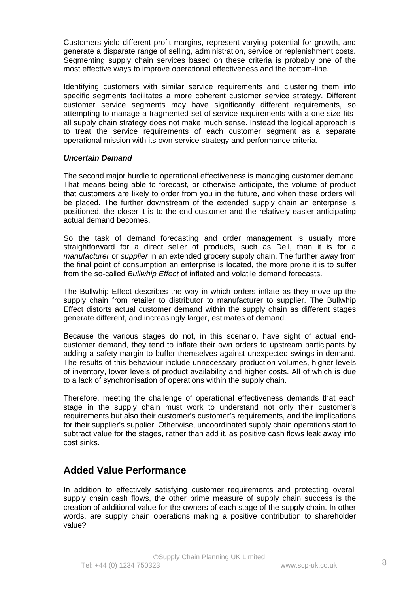Customers yield different profit margins, represent varying potential for growth, and generate a disparate range of selling, administration, service or replenishment costs. Segmenting supply chain services based on these criteria is probably one of the most effective ways to improve operational effectiveness and the bottom-line.

Identifying customers with similar service requirements and clustering them into specific segments facilitates a more coherent customer service strategy. Different customer service segments may have significantly different requirements, so attempting to manage a fragmented set of service requirements with a one-size-fitsall supply chain strategy does not make much sense. Instead the logical approach is to treat the service requirements of each customer segment as a separate operational mission with its own service strategy and performance criteria.

# *Uncertain Demand*

The second major hurdle to operational effectiveness is managing customer demand. That means being able to forecast, or otherwise anticipate, the volume of product that customers are likely to order from you in the future, and when these orders will be placed. The further downstream of the extended supply chain an enterprise is positioned, the closer it is to the end-customer and the relatively easier anticipating actual demand becomes.

So the task of demand forecasting and order management is usually more straightforward for a direct seller of products, such as Dell, than it is for a *manufacturer* or *supplier* in an extended grocery supply chain. The further away from the final point of consumption an enterprise is located, the more prone it is to suffer from the so-called *Bullwhip Effect* of inflated and volatile demand forecasts.

The Bullwhip Effect describes the way in which orders inflate as they move up the supply chain from retailer to distributor to manufacturer to supplier. The Bullwhip Effect distorts actual customer demand within the supply chain as different stages generate different, and increasingly larger, estimates of demand.

Because the various stages do not, in this scenario, have sight of actual endcustomer demand, they tend to inflate their own orders to upstream participants by adding a safety margin to buffer themselves against unexpected swings in demand. The results of this behaviour include unnecessary production volumes, higher levels of inventory, lower levels of product availability and higher costs. All of which is due to a lack of synchronisation of operations within the supply chain.

Therefore, meeting the challenge of operational effectiveness demands that each stage in the supply chain must work to understand not only their customer's requirements but also their customer's customer's requirements, and the implications for their supplier's supplier. Otherwise, uncoordinated supply chain operations start to subtract value for the stages, rather than add it, as positive cash flows leak away into cost sinks.

# **Added Value Performance**

In addition to effectively satisfying customer requirements and protecting overall supply chain cash flows, the other prime measure of supply chain success is the creation of additional value for the owners of each stage of the supply chain. In other words, are supply chain operations making a positive contribution to shareholder value?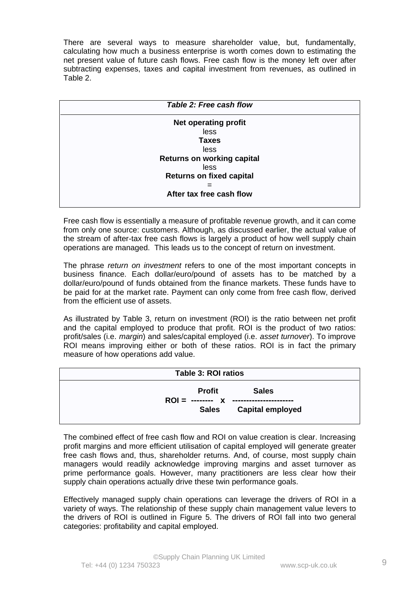There are several ways to measure shareholder value, but, fundamentally, calculating how much a business enterprise is worth comes down to estimating the net present value of future cash flows. Free cash flow is the money left over after subtracting expenses, taxes and capital investment from revenues, as outlined in Table 2.

| <b>Net operating profit</b><br>less<br><b>Taxes</b><br><b>less</b> |
|--------------------------------------------------------------------|
|                                                                    |
|                                                                    |
|                                                                    |
|                                                                    |
| <b>Returns on working capital</b>                                  |
| <b>less</b>                                                        |
| <b>Returns on fixed capital</b>                                    |
|                                                                    |
| After tax free cash flow                                           |

Free cash flow is essentially a measure of profitable revenue growth, and it can come from only one source: customers. Although, as discussed earlier, the actual value of the stream of after-tax free cash flows is largely a product of how well supply chain operations are managed. This leads us to the concept of return on investment.

The phrase *return on investment* refers to one of the most important concepts in business finance. Each dollar/euro/pound of assets has to be matched by a dollar/euro/pound of funds obtained from the finance markets. These funds have to be paid for at the market rate. Payment can only come from free cash flow, derived from the efficient use of assets.

As illustrated by Table 3, return on investment (ROI) is the ratio between net profit and the capital employed to produce that profit. ROI is the product of two ratios: profit/sales (i.e. *margin*) and sales/capital employed (i.e. *asset turnover*). To improve ROI means improving either or both of these ratios. ROI is in fact the primary measure of how operations add value.

| Table 3: ROI ratios                |                        |  |
|------------------------------------|------------------------|--|
| Profit                             | <b>Sales</b>           |  |
| $\text{ROI} =$ -------- $\text{X}$ |                        |  |
|                                    | Sales Capital employed |  |
|                                    |                        |  |

The combined effect of free cash flow and ROI on value creation is clear. Increasing profit margins and more efficient utilisation of capital employed will generate greater free cash flows and, thus, shareholder returns. And, of course, most supply chain managers would readily acknowledge improving margins and asset turnover as prime performance goals. However, many practitioners are less clear how their supply chain operations actually drive these twin performance goals.

Effectively managed supply chain operations can leverage the drivers of ROI in a variety of ways. The relationship of these supply chain management value levers to the drivers of ROI is outlined in Figure 5. The drivers of ROI fall into two general categories: profitability and capital employed.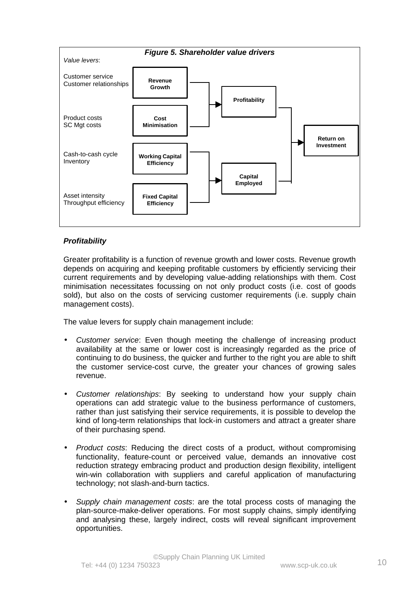

# *Profitability*

Greater profitability is a function of revenue growth and lower costs. Revenue growth depends on acquiring and keeping profitable customers by efficiently servicing their current requirements and by developing value-adding relationships with them. Cost minimisation necessitates focussing on not only product costs (i.e. cost of goods sold), but also on the costs of servicing customer requirements (i.e. supply chain management costs).

The value levers for supply chain management include:

- *Customer service*: Even though meeting the challenge of increasing product availability at the same or lower cost is increasingly regarded as the price of continuing to do business, the quicker and further to the right you are able to shift the customer service-cost curve, the greater your chances of growing sales revenue.
- *Customer relationships*: By seeking to understand how your supply chain operations can add strategic value to the business performance of customers, rather than just satisfying their service requirements, it is possible to develop the kind of long-term relationships that lock-in customers and attract a greater share of their purchasing spend.
- *Product costs*: Reducing the direct costs of a product, without compromising functionality, feature-count or perceived value, demands an innovative cost reduction strategy embracing product and production design flexibility, intelligent win-win collaboration with suppliers and careful application of manufacturing technology; not slash-and-burn tactics.
- *Supply chain management costs*: are the total process costs of managing the plan-source-make-deliver operations. For most supply chains, simply identifying and analysing these, largely indirect, costs will reveal significant improvement opportunities.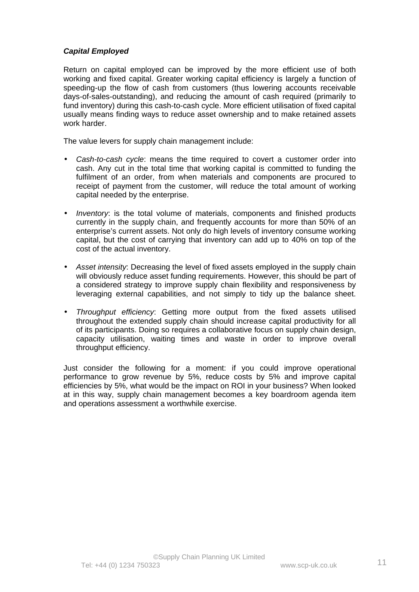# *Capital Employed*

Return on capital employed can be improved by the more efficient use of both working and fixed capital. Greater working capital efficiency is largely a function of speeding-up the flow of cash from customers (thus lowering accounts receivable days-of-sales-outstanding), and reducing the amount of cash required (primarily to fund inventory) during this cash-to-cash cycle. More efficient utilisation of fixed capital usually means finding ways to reduce asset ownership and to make retained assets work harder.

The value levers for supply chain management include:

- *Cash-to-cash cycle*: means the time required to covert a customer order into cash. Any cut in the total time that working capital is committed to funding the fulfilment of an order, from when materials and components are procured to receipt of payment from the customer, will reduce the total amount of working capital needed by the enterprise.
- *Inventory*: is the total volume of materials, components and finished products currently in the supply chain, and frequently accounts for more than 50% of an enterprise's current assets. Not only do high levels of inventory consume working capital, but the cost of carrying that inventory can add up to 40% on top of the cost of the actual inventory.
- *Asset intensity*: Decreasing the level of fixed assets employed in the supply chain will obviously reduce asset funding requirements. However, this should be part of a considered strategy to improve supply chain flexibility and responsiveness by leveraging external capabilities, and not simply to tidy up the balance sheet.
- *Throughput efficiency*: Getting more output from the fixed assets utilised throughout the extended supply chain should increase capital productivity for all of its participants. Doing so requires a collaborative focus on supply chain design, capacity utilisation, waiting times and waste in order to improve overall throughput efficiency.

Just consider the following for a moment: if you could improve operational performance to grow revenue by 5%, reduce costs by 5% and improve capital efficiencies by 5%, what would be the impact on ROI in your business? When looked at in this way, supply chain management becomes a key boardroom agenda item and operations assessment a worthwhile exercise.